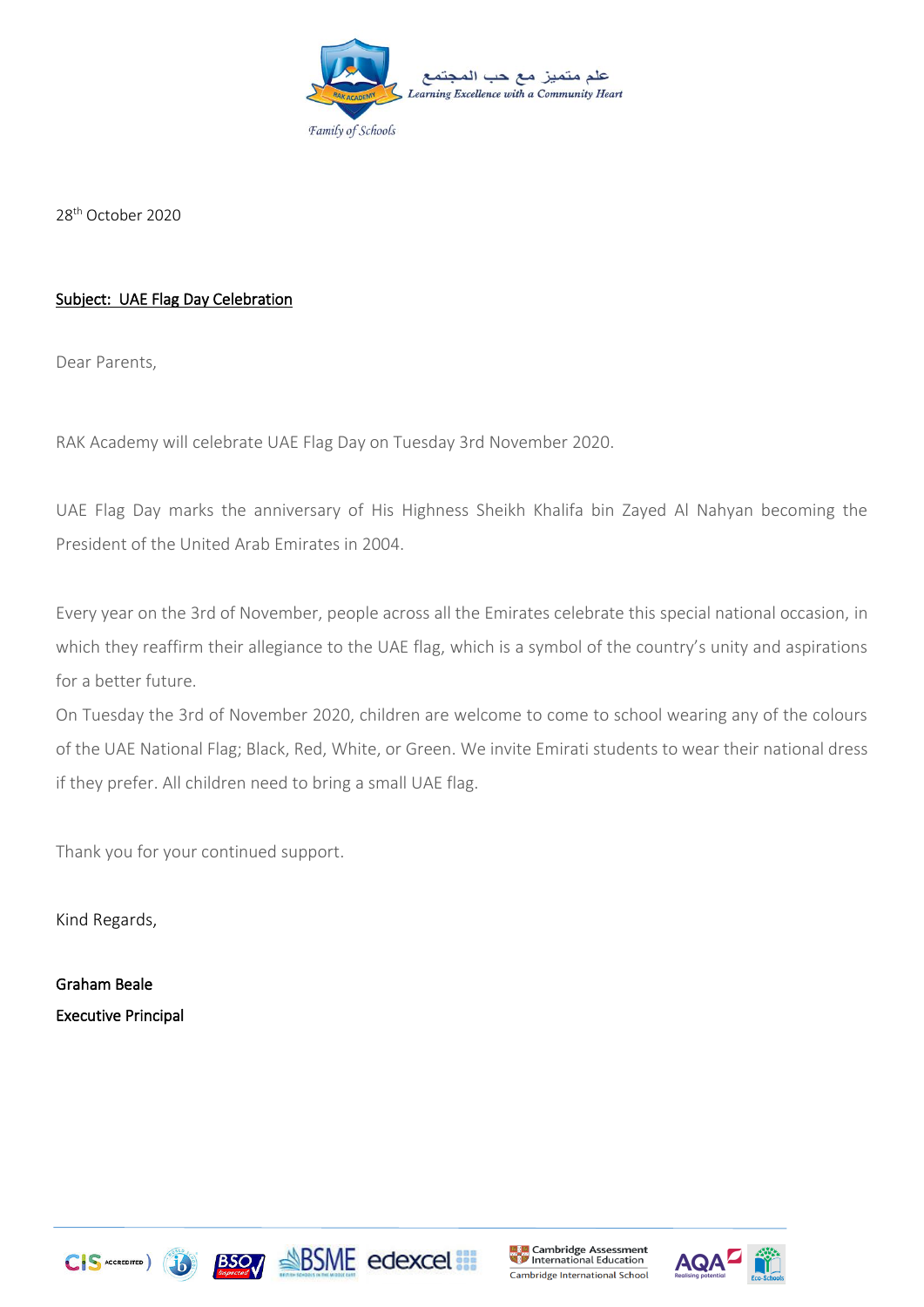

28th October 2020

## Subject: UAE Flag Day Celebration

Dear Parents,

RAK Academy will celebrate UAE Flag Day on Tuesday 3rd November 2020.

UAE Flag Day marks the anniversary of His Highness Sheikh Khalifa bin Zayed Al Nahyan becoming the President of the United Arab Emirates in 2004.

Every year on the 3rd of November, people across all the Emirates celebrate this special national occasion, in which they reaffirm their allegiance to the UAE flag, which is a symbol of the country's unity and aspirations for a better future.

On Tuesday the 3rd of November 2020, children are welcome to come to school wearing any of the colours of the UAE National Flag; Black, Red, White, or Green. We invite Emirati students to wear their national dress if they prefer. All children need to bring a small UAE flag.

Thank you for your continued support.

Kind Regards,

Graham Beale Executive Principal